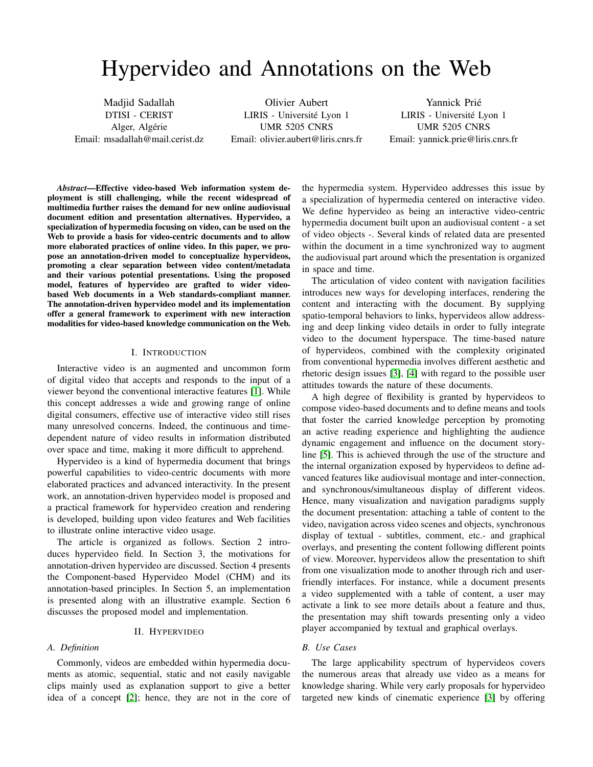# Hypervideo and Annotations on the Web

Madjid Sadallah DTISI - CERIST Alger, Algérie Email: msadallah@mail.cerist.dz

Olivier Aubert LIRIS - Université Lyon 1 UMR 5205 CNRS Email: olivier.aubert@liris.cnrs.fr

Yannick Prie´ LIRIS - Université Lyon 1 UMR 5205 CNRS Email: yannick.prie@liris.cnrs.fr

*Abstract*—Effective video-based Web information system deployment is still challenging, while the recent widespread of multimedia further raises the demand for new online audiovisual document edition and presentation alternatives. Hypervideo, a specialization of hypermedia focusing on video, can be used on the Web to provide a basis for video-centric documents and to allow more elaborated practices of online video. In this paper, we propose an annotation-driven model to conceptualize hypervideos, promoting a clear separation between video content/metadata and their various potential presentations. Using the proposed model, features of hypervideo are grafted to wider videobased Web documents in a Web standards-compliant manner. The annotation-driven hypervideo model and its implementation offer a general framework to experiment with new interaction modalities for video-based knowledge communication on the Web.

#### I. INTRODUCTION

Interactive video is an augmented and uncommon form of digital video that accepts and responds to the input of a viewer beyond the conventional interactive features [\[1\]](#page-5-0). While this concept addresses a wide and growing range of online digital consumers, effective use of interactive video still rises many unresolved concerns. Indeed, the continuous and timedependent nature of video results in information distributed over space and time, making it more difficult to apprehend.

Hypervideo is a kind of hypermedia document that brings powerful capabilities to video-centric documents with more elaborated practices and advanced interactivity. In the present work, an annotation-driven hypervideo model is proposed and a practical framework for hypervideo creation and rendering is developed, building upon video features and Web facilities to illustrate online interactive video usage.

The article is organized as follows. Section 2 introduces hypervideo field. In Section 3, the motivations for annotation-driven hypervideo are discussed. Section 4 presents the Component-based Hypervideo Model (CHM) and its annotation-based principles. In Section 5, an implementation is presented along with an illustrative example. Section 6 discusses the proposed model and implementation.

### II. HYPERVIDEO

#### *A. Definition*

Commonly, videos are embedded within hypermedia documents as atomic, sequential, static and not easily navigable clips mainly used as explanation support to give a better idea of a concept [\[2\]](#page-5-1); hence, they are not in the core of the hypermedia system. Hypervideo addresses this issue by a specialization of hypermedia centered on interactive video. We define hypervideo as being an interactive video-centric hypermedia document built upon an audiovisual content - a set of video objects -. Several kinds of related data are presented within the document in a time synchronized way to augment the audiovisual part around which the presentation is organized in space and time.

The articulation of video content with navigation facilities introduces new ways for developing interfaces, rendering the content and interacting with the document. By supplying spatio-temporal behaviors to links, hypervideos allow addressing and deep linking video details in order to fully integrate video to the document hyperspace. The time-based nature of hypervideos, combined with the complexity originated from conventional hypermedia involves different aesthetic and rhetoric design issues [\[3\]](#page-5-2), [\[4\]](#page-5-3) with regard to the possible user attitudes towards the nature of these documents.

A high degree of flexibility is granted by hypervideos to compose video-based documents and to define means and tools that foster the carried knowledge perception by promoting an active reading experience and highlighting the audience dynamic engagement and influence on the document storyline [\[5\]](#page-5-4). This is achieved through the use of the structure and the internal organization exposed by hypervideos to define advanced features like audiovisual montage and inter-connection, and synchronous/simultaneous display of different videos. Hence, many visualization and navigation paradigms supply the document presentation: attaching a table of content to the video, navigation across video scenes and objects, synchronous display of textual - subtitles, comment, etc.- and graphical overlays, and presenting the content following different points of view. Moreover, hypervideos allow the presentation to shift from one visualization mode to another through rich and userfriendly interfaces. For instance, while a document presents a video supplemented with a table of content, a user may activate a link to see more details about a feature and thus, the presentation may shift towards presenting only a video player accompanied by textual and graphical overlays.

#### *B. Use Cases*

The large applicability spectrum of hypervideos covers the numerous areas that already use video as a means for knowledge sharing. While very early proposals for hypervideo targeted new kinds of cinematic experience [\[3\]](#page-5-2) by offering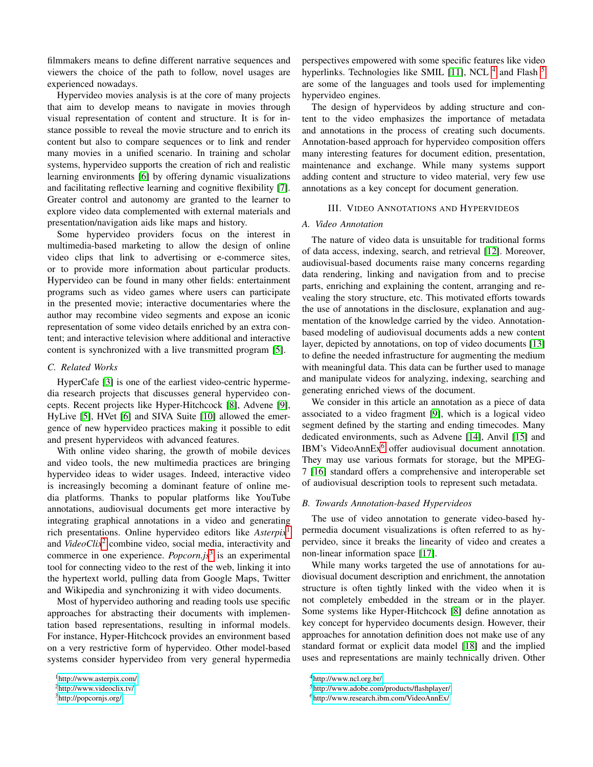filmmakers means to define different narrative sequences and viewers the choice of the path to follow, novel usages are experienced nowadays.

Hypervideo movies analysis is at the core of many projects that aim to develop means to navigate in movies through visual representation of content and structure. It is for instance possible to reveal the movie structure and to enrich its content but also to compare sequences or to link and render many movies in a unified scenario. In training and scholar systems, hypervideo supports the creation of rich and realistic learning environments [\[6\]](#page-5-5) by offering dynamic visualizations and facilitating reflective learning and cognitive flexibility [\[7\]](#page-5-6). Greater control and autonomy are granted to the learner to explore video data complemented with external materials and presentation/navigation aids like maps and history.

Some hypervideo providers focus on the interest in multimedia-based marketing to allow the design of online video clips that link to advertising or e-commerce sites, or to provide more information about particular products. Hypervideo can be found in many other fields: entertainment programs such as video games where users can participate in the presented movie; interactive documentaries where the author may recombine video segments and expose an iconic representation of some video details enriched by an extra content; and interactive television where additional and interactive content is synchronized with a live transmitted program [\[5\]](#page-5-4).

#### *C. Related Works*

HyperCafe [\[3\]](#page-5-2) is one of the earliest video-centric hypermedia research projects that discusses general hypervideo concepts. Recent projects like Hyper-Hitchcock [\[8\]](#page-5-7), Advene [\[9\]](#page-5-8), HyLive [\[5\]](#page-5-4), HVet [\[6\]](#page-5-5) and SIVA Suite [\[10\]](#page-5-9) allowed the emergence of new hypervideo practices making it possible to edit and present hypervideos with advanced features.

With online video sharing, the growth of mobile devices and video tools, the new multimedia practices are bringing hypervideo ideas to wider usages. Indeed, interactive video is increasingly becoming a dominant feature of online media platforms. Thanks to popular platforms like YouTube annotations, audiovisual documents get more interactive by integrating graphical annotations in a video and generating rich presentations. Online hypervideo editors like *Asterpix*[1](#page-1-0) and *VideoClix*[2](#page-1-1) combine video, social media, interactivity and commerce in one experience. *Popcorn.js*[3](#page-1-2) is an experimental tool for connecting video to the rest of the web, linking it into the hypertext world, pulling data from Google Maps, Twitter and Wikipedia and synchronizing it with video documents.

Most of hypervideo authoring and reading tools use specific approaches for abstracting their documents with implementation based representations, resulting in informal models. For instance, Hyper-Hitchcock provides an environment based on a very restrictive form of hypervideo. Other model-based systems consider hypervideo from very general hypermedia

perspectives empowered with some specific features like video hyperlinks. Technologies like SMIL [\[11\]](#page-5-10), NCL<sup>[4](#page-1-3)</sup> and Flash<sup>[5](#page-1-4)</sup> are some of the languages and tools used for implementing hypervideo engines.

The design of hypervideos by adding structure and content to the video emphasizes the importance of metadata and annotations in the process of creating such documents. Annotation-based approach for hypervideo composition offers many interesting features for document edition, presentation, maintenance and exchange. While many systems support adding content and structure to video material, very few use annotations as a key concept for document generation.

# III. VIDEO ANNOTATIONS AND HYPERVIDEOS

## *A. Video Annotation*

The nature of video data is unsuitable for traditional forms of data access, indexing, search, and retrieval [\[12\]](#page-5-11). Moreover, audiovisual-based documents raise many concerns regarding data rendering, linking and navigation from and to precise parts, enriching and explaining the content, arranging and revealing the story structure, etc. This motivated efforts towards the use of annotations in the disclosure, explanation and augmentation of the knowledge carried by the video. Annotationbased modeling of audiovisual documents adds a new content layer, depicted by annotations, on top of video documents [\[13\]](#page-5-12) to define the needed infrastructure for augmenting the medium with meaningful data. This data can be further used to manage and manipulate videos for analyzing, indexing, searching and generating enriched views of the document.

We consider in this article an annotation as a piece of data associated to a video fragment [\[9\]](#page-5-8), which is a logical video segment defined by the starting and ending timecodes. Many dedicated environments, such as Advene [\[14\]](#page-5-13), Anvil [\[15\]](#page-5-14) and IBM's VideoAnnEx<sup>[6](#page-1-5)</sup> offer audiovisual document annotation. They may use various formats for storage, but the MPEG-7 [\[16\]](#page-5-15) standard offers a comprehensive and interoperable set of audiovisual description tools to represent such metadata.

## *B. Towards Annotation-based Hypervideos*

The use of video annotation to generate video-based hypermedia document visualizations is often referred to as hypervideo, since it breaks the linearity of video and creates a non-linear information space [\[17\]](#page-5-16).

While many works targeted the use of annotations for audiovisual document description and enrichment, the annotation structure is often tightly linked with the video when it is not completely embedded in the stream or in the player. Some systems like Hyper-Hitchcock [\[8\]](#page-5-7) define annotation as key concept for hypervideo documents design. However, their approaches for annotation definition does not make use of any standard format or explicit data model [\[18\]](#page-5-17) and the implied uses and representations are mainly technically driven. Other

<span id="page-1-0"></span><sup>1</sup><http://www.asterpix.com/>

<span id="page-1-1"></span><sup>2</sup><http://www.videoclix.tv/>

<span id="page-1-2"></span><sup>3</sup><http://popcornjs.org/>

<span id="page-1-3"></span><sup>4</sup><http://www.ncl.org.br/>

<span id="page-1-4"></span><sup>5</sup><http://www.adobe.com/products/flashplayer/>

<span id="page-1-5"></span><sup>6</sup><http://www.research.ibm.com/VideoAnnEx/>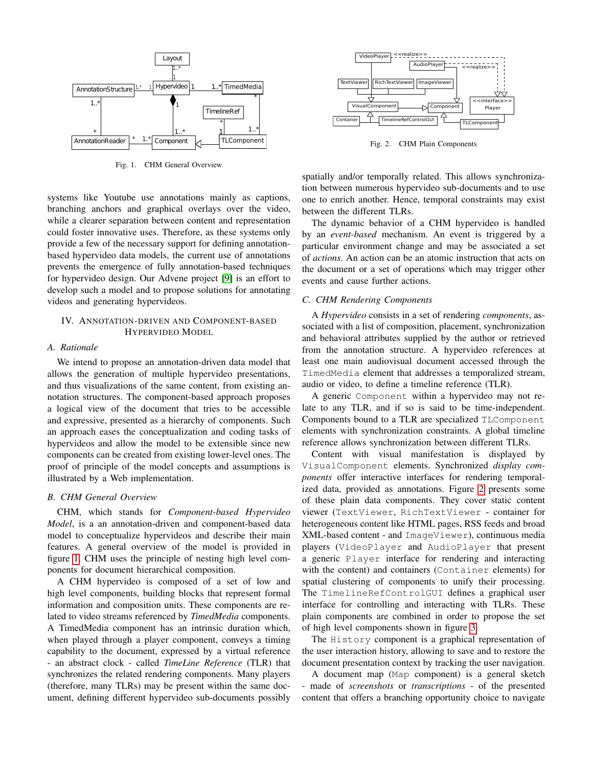

<span id="page-2-0"></span>Fig. 1. CHM General Overview

systems like Youtube use annotations mainly as captions, branching anchors and graphical overlays over the video, while a clearer separation between content and representation could foster innovative uses. Therefore, as these systems only provide a few of the necessary support for defining annotationbased hypervideo data models, the current use of annotations prevents the emergence of fully annotation-based techniques for hypervideo design. Our Advene project [\[9\]](#page-5-8) is an effort to develop such a model and to propose solutions for annotating videos and generating hypervideos.

# IV. ANNOTATION-DRIVEN AND COMPONENT-BASED HYPERVIDEO MODEL

## *A. Rationale*

We intend to propose an annotation-driven data model that allows the generation of multiple hypervideo presentations, and thus visualizations of the same content, from existing annotation structures. The component-based approach proposes a logical view of the document that tries to be accessible and expressive, presented as a hierarchy of components. Such an approach eases the conceptualization and coding tasks of hypervideos and allow the model to be extensible since new components can be created from existing lower-level ones. The proof of principle of the model concepts and assumptions is illustrated by a Web implementation.

#### *B. CHM General Overview*

CHM, which stands for *Component-based Hypervideo Model*, is a an annotation-driven and component-based data model to conceptualize hypervideos and describe their main features. A general overview of the model is provided in figure [1.](#page-2-0) CHM uses the principle of nesting high level components for document hierarchical composition.

A CHM hypervideo is composed of a set of low and high level components, building blocks that represent formal information and composition units. These components are related to video streams referenced by *TimedMedia* components. A TimedMedia component has an intrinsic duration which, when played through a player component, conveys a timing capability to the document, expressed by a virtual reference - an abstract clock - called *TimeLine Reference* (TLR) that synchronizes the related rendering components. Many players (therefore, many TLRs) may be present within the same document, defining different hypervideo sub-documents possibly



<span id="page-2-1"></span>Fig. 2. CHM Plain Components

spatially and/or temporally related. This allows synchronization between numerous hypervideo sub-documents and to use one to enrich another. Hence, temporal constraints may exist between the different TLRs.

The dynamic behavior of a CHM hypervideo is handled by an *event-based* mechanism. An event is triggered by a particular environment change and may be associated a set of *actions*. An action can be an atomic instruction that acts on the document or a set of operations which may trigger other events and cause further actions.

#### *C. CHM Rendering Components*

A *Hypervideo* consists in a set of rendering *components*, associated with a list of composition, placement, synchronization and behavioral attributes supplied by the author or retrieved from the annotation structure. A hypervideo references at least one main audiovisual document accessed through the TimedMedia element that addresses a temporalized stream, audio or video, to define a timeline reference (TLR).

A generic Component within a hypervideo may not relate to any TLR, and if so is said to be time-independent. Components bound to a TLR are specialized TLComponent elements with synchronization constraints. A global timeline reference allows synchronization between different TLRs.

Content with visual manifestation is displayed by VisualComponent elements. Synchronized *display components* offer interactive interfaces for rendering temporalized data, provided as annotations. Figure [2](#page-2-1) presents some of these plain data components. They cover static content viewer (TextViewer, RichTextViewer - container for heterogeneous content like HTML pages, RSS feeds and broad XML-based content - and ImageViewer), continuous media players (VideoPlayer and AudioPlayer that present a generic Player interface for rendering and interacting with the content) and containers (Container elements) for spatial clustering of components to unify their processing. The TimelineRefControlGUI defines a graphical user interface for controlling and interacting with TLRs. These plain components are combined in order to propose the set of high level components shown in figure [3.](#page-3-0)

The History component is a graphical representation of the user interaction history, allowing to save and to restore the document presentation context by tracking the user navigation.

A document map (Map component) is a general sketch - made of *screenshots* or *transcriptions* - of the presented content that offers a branching opportunity choice to navigate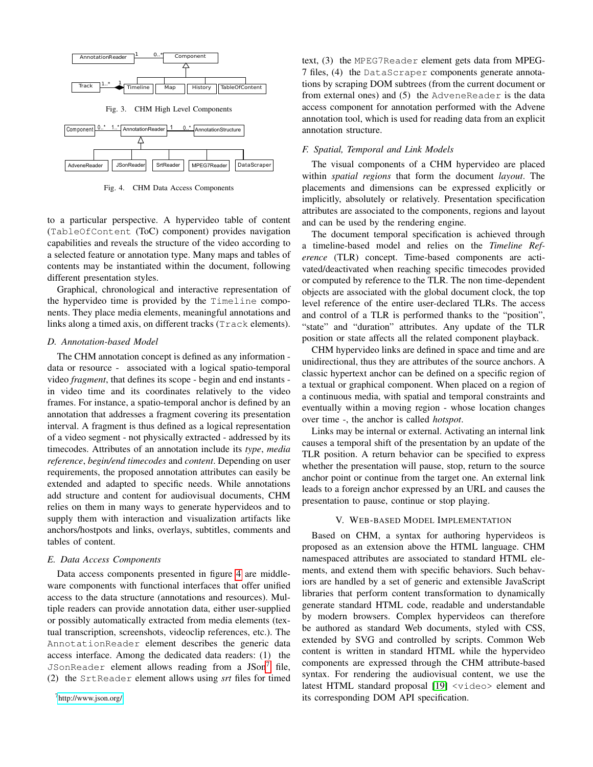

<span id="page-3-1"></span><span id="page-3-0"></span>Fig. 4. CHM Data Access Components

to a particular perspective. A hypervideo table of content (TableOfContent (ToC) component) provides navigation capabilities and reveals the structure of the video according to a selected feature or annotation type. Many maps and tables of contents may be instantiated within the document, following different presentation styles.

Graphical, chronological and interactive representation of the hypervideo time is provided by the Timeline components. They place media elements, meaningful annotations and links along a timed axis, on different tracks (Track elements).

#### *D. Annotation-based Model*

The CHM annotation concept is defined as any information data or resource - associated with a logical spatio-temporal video *fragment*, that defines its scope - begin and end instants in video time and its coordinates relatively to the video frames. For instance, a spatio-temporal anchor is defined by an annotation that addresses a fragment covering its presentation interval. A fragment is thus defined as a logical representation of a video segment - not physically extracted - addressed by its timecodes. Attributes of an annotation include its *type*, *media reference*, *begin/end timecodes* and *content*. Depending on user requirements, the proposed annotation attributes can easily be extended and adapted to specific needs. While annotations add structure and content for audiovisual documents, CHM relies on them in many ways to generate hypervideos and to supply them with interaction and visualization artifacts like anchors/hostpots and links, overlays, subtitles, comments and tables of content.

#### *E. Data Access Components*

Data access components presented in figure [4](#page-3-1) are middleware components with functional interfaces that offer unified access to the data structure (annotations and resources). Multiple readers can provide annotation data, either user-supplied or possibly automatically extracted from media elements (textual transcription, screenshots, videoclip references, etc.). The AnnotationReader element describes the generic data access interface. Among the dedicated data readers: (1) the JSonReader element allows reading from a  $J$ Son $<sup>7</sup>$  $<sup>7</sup>$  $<sup>7</sup>$  file,</sup> (2) the SrtReader element allows using *srt* files for timed

<span id="page-3-2"></span><sup>7</sup><http://www.json.org/>

text, (3) the MPEG7Reader element gets data from MPEG-7 files, (4) the DataScraper components generate annotations by scraping DOM subtrees (from the current document or from external ones) and (5) the AdveneReader is the data access component for annotation performed with the Advene annotation tool, which is used for reading data from an explicit annotation structure.

#### *F. Spatial, Temporal and Link Models*

The visual components of a CHM hypervideo are placed within *spatial regions* that form the document *layout*. The placements and dimensions can be expressed explicitly or implicitly, absolutely or relatively. Presentation specification attributes are associated to the components, regions and layout and can be used by the rendering engine.

The document temporal specification is achieved through a timeline-based model and relies on the *Timeline Reference* (TLR) concept. Time-based components are activated/deactivated when reaching specific timecodes provided or computed by reference to the TLR. The non time-dependent objects are associated with the global document clock, the top level reference of the entire user-declared TLRs. The access and control of a TLR is performed thanks to the "position", "state" and "duration" attributes. Any update of the TLR position or state affects all the related component playback.

CHM hypervideo links are defined in space and time and are unidirectional, thus they are attributes of the source anchors. A classic hypertext anchor can be defined on a specific region of a textual or graphical component. When placed on a region of a continuous media, with spatial and temporal constraints and eventually within a moving region - whose location changes over time -, the anchor is called *hotspot*.

Links may be internal or external. Activating an internal link causes a temporal shift of the presentation by an update of the TLR position. A return behavior can be specified to express whether the presentation will pause, stop, return to the source anchor point or continue from the target one. An external link leads to a foreign anchor expressed by an URL and causes the presentation to pause, continue or stop playing.

#### V. WEB-BASED MODEL IMPLEMENTATION

Based on CHM, a syntax for authoring hypervideos is proposed as an extension above the HTML language. CHM namespaced attributes are associated to standard HTML elements, and extend them with specific behaviors. Such behaviors are handled by a set of generic and extensible JavaScript libraries that perform content transformation to dynamically generate standard HTML code, readable and understandable by modern browsers. Complex hypervideos can therefore be authored as standard Web documents, styled with CSS, extended by SVG and controlled by scripts. Common Web content is written in standard HTML while the hypervideo components are expressed through the CHM attribute-based syntax. For rendering the audiovisual content, we use the latest HTML standard proposal [\[19\]](#page-5-18) <video> element and its corresponding DOM API specification.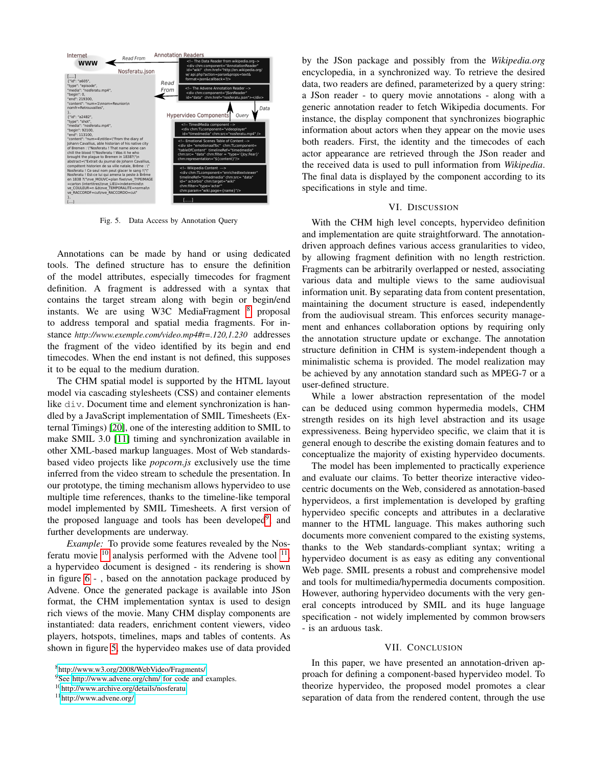

<span id="page-4-4"></span>Fig. 5. Data Access by Annotation Query

Annotations can be made by hand or using dedicated tools. The defined structure has to ensure the definition of the model attributes, especially timecodes for fragment definition. A fragment is addressed with a syntax that contains the target stream along with begin or begin/end instants. We are using W3C MediaFragment  $8$  proposal to address temporal and spatial media fragments. For instance *http://www.exemple.com/video.mp4#t=.120,1.230* addresses the fragment of the video identified by its begin and end timecodes. When the end instant is not defined, this supposes it to be equal to the medium duration.

The CHM spatial model is supported by the HTML layout model via cascading stylesheets (CSS) and container elements like div. Document time and element synchronization is handled by a JavaScript implementation of SMIL Timesheets (External Timings) [\[20\]](#page-5-19), one of the interesting addition to SMIL to make SMIL 3.0 [\[11\]](#page-5-10) timing and synchronization available in other XML-based markup languages. Most of Web standardsbased video projects like *popcorn.js* exclusively use the time inferred from the video stream to schedule the presentation. In our prototype, the timing mechanism allows hypervideo to use multiple time references, thanks to the timeline-like temporal model implemented by SMIL Timesheets. A first version of the proposed language and tools has been developed<sup>[9](#page-4-1)</sup>, and further developments are underway.

*Example:* To provide some features revealed by the Nosferatu movie  $10$  analysis performed with the Advene tool  $11$ , a hypervideo document is designed - its rendering is shown in figure [6](#page-5-20) - , based on the annotation package produced by Advene. Once the generated package is available into JSon format, the CHM implementation syntax is used to design rich views of the movie. Many CHM display components are instantiated: data readers, enrichment content viewers, video players, hotspots, timelines, maps and tables of contents. As shown in figure [5,](#page-4-4) the hypervideo makes use of data provided

<span id="page-4-2"></span><sup>10</sup><http://www.archive.org/details/nosferatu>

<span id="page-4-3"></span><sup>11</sup><http://www.advene.org/>

by the JSon package and possibly from the *Wikipedia.org* encyclopedia, in a synchronized way. To retrieve the desired data, two readers are defined, parameterized by a query string: a JSon reader - to query movie annotations - along with a generic annotation reader to fetch Wikipedia documents. For instance, the display component that synchronizes biographic information about actors when they appear on the movie uses both readers. First, the identity and the timecodes of each actor appearance are retrieved through the JSon reader and the received data is used to pull information from *Wikipedia*. The final data is displayed by the component according to its specifications in style and time.

## VI. DISCUSSION

With the CHM high level concepts, hypervideo definition and implementation are quite straightforward. The annotationdriven approach defines various access granularities to video, by allowing fragment definition with no length restriction. Fragments can be arbitrarily overlapped or nested, associating various data and multiple views to the same audiovisual information unit. By separating data from content presentation, maintaining the document structure is eased, independently from the audiovisual stream. This enforces security management and enhances collaboration options by requiring only the annotation structure update or exchange. The annotation structure definition in CHM is system-independent though a minimalistic schema is provided. The model realization may be achieved by any annotation standard such as MPEG-7 or a user-defined structure.

While a lower abstraction representation of the model can be deduced using common hypermedia models, CHM strength resides on its high level abstraction and its usage expressiveness. Being hypervideo specific, we claim that it is general enough to describe the existing domain features and to conceptualize the majority of existing hypervideo documents.

The model has been implemented to practically experience and evaluate our claims. To better theorize interactive videocentric documents on the Web, considered as annotation-based hypervideos, a first implementation is developed by grafting hypervideo specific concepts and attributes in a declarative manner to the HTML language. This makes authoring such documents more convenient compared to the existing systems, thanks to the Web standards-compliant syntax; writing a hypervideo document is as easy as editing any conventional Web page. SMIL presents a robust and comprehensive model and tools for multimedia/hypermedia documents composition. However, authoring hypervideo documents with the very general concepts introduced by SMIL and its huge language specification - not widely implemented by common browsers - is an arduous task.

#### VII. CONCLUSION

In this paper, we have presented an annotation-driven approach for defining a component-based hypervideo model. To theorize hypervideo, the proposed model promotes a clear separation of data from the rendered content, through the use

<span id="page-4-0"></span><sup>8</sup><http://www.w3.org/2008/WebVideo/Fragments/>

<span id="page-4-1"></span><sup>&</sup>lt;sup>9</sup>See<http://www.advene.org/chm/> for code and examples.